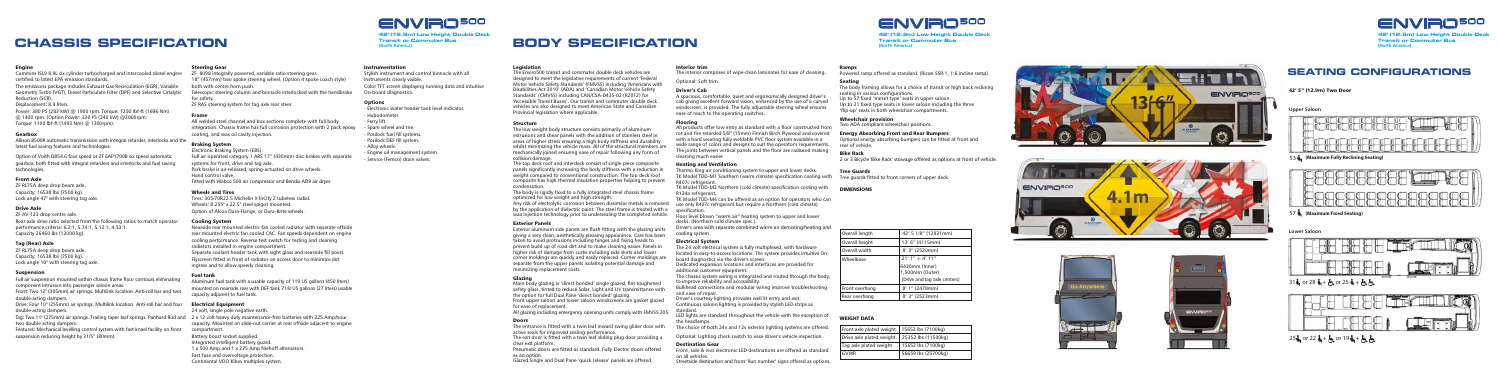**(North America)**

Stylish instrument and control binnacle with all instruments clearly visible. Color TFT screen displaying running data and intuitive On-board diagnostics.

**42** ' **(12.9m) Low Height Double Deck Transit or Commuter Bus Transit or Commuter Bus**

# **CHASSIS SPECIFICATION Example the commuter Bus EQDY SPECIFICATION Transit or Commuter Bus CHA CHANGE OF RESERVATION (No.9m)**<br>Transit or Commuter Bus **Commuter Bus Commuter Bus Commuter Bus Commuter Bus Commuter Bus Commuter Bus Commuter Bus Commuter Bus Commuter Bus Commuter Bus Commuter**

#### Engine

Cummins ISL9 8.9L six cylinder turbocharged and intercooled diesel engine<br>certified to latest EPA emission standards.<br>The emissions package includes Exhaust Gas Recirculation (EGR), Variable<br>Geometry Turbo (VGT), Diesel Pa Cummins ISL9 8.9L six cylinder turbocharged and intercooled diesel engine<br>certified to latest EPA emission standards.<br>The emissions package includes Exhaust Gas Recirculation (EGR). Variable

Reduction (SCR).

Power: 380 PS (283 kW) @ 1900 rpm. Torque: 1250 lbf-ft (1696 Nm) @ 1400 rpm. (Option Power: 330 PS (240 kW) @2000rpm. Torque: 1100 lbf-ft (1493 Nm) @ 1300rpm ) . Gearb o x Power: 280 Power: 283 Power: 283 power: 283 power: 380 Power: 380 Power: 380 Power: 330 Power: 330 Power: 330 P<br>Power: 330 PS (283 kW) @ 1900 rpm. Torque: 1250 lbf-ft (1696 Nm).  $\odot$  1400 rpm (Option Power: 330 PS (240 kW)

#### **Gearbox** and the integral retarded retarded and the integral retarded and the integral retarded and the integral retarded and the integral retarded and the integral retarded and the integral retarded and integral retarded

Allison B500R automatic transmission with integral retarder, interlocks and the latest fuel saving features and technologies.

Option of Voith D854.6 four speed or ZF 6AP1700B six speed automatic<br>gearbox, both fitted with integral retarders and interlocks and fuel saving technologies. Option of Voith D854.6 four speed or ZF 6AP1700B six speed automatic

### Front Axle

ZF RL75A deep drop beam axle. Capacity: 16538 lbs (7500 kg). Lock angle  $47^{\circ}$  with steering tag axle.

### Drive Axle

ZF AV-133 drop centre axle. Rear axle drive ratio selected from the following ratios to match operator performance criteria: 6.2:1, 5.74:1, 5.12:1, 4.53:1.

Capacity 26460 lbs (12000 kg).

### Tag (Rear) Axle

ZF RL75A deep drop beam axle. Capacity:  $16538$  lbs (7500 kg). Lock angle  $10^{\circ}$  with steering tag axle.

Displacement: 8.9 liters.

#### Su s pension F u l  $l$  and  $l$  are suspension mounted with characteristic frame floor contours eliminating  $l$

Full air suspension mounted within chassis frame floor contours eliminating component intrusion into passenger saloon areas.

Front: Two 12" (305mm) air springs. Multilink location. Anti-roll bar and two double-acting dampers.<br> **Solution:** The spring location. And four intervals are and four intervals and four intervals are and four intervals are and four intervals are and four intervals are and four intervals are and four

Drive: Four 10" (255mm) air springs. Multilink location. Anti-roll bar and four double-acting dampers. The 11 September 11 (275mm) and Rod and Rod and Rod and Rod and Rod and Rod and Rod and

two double acting dampers.

Features: Mechanical levelling control system with fast-kneel facility on front suspension reducing height by 31/5" (80mm).

### **Steering Gear** 8098 integrally powered, variable ratio steering gear.

ZF 8098 integrally powered, variable ratio steering gear. 18" (457mm) two spoke steering wheel. (Option 4 spoke coach style)  $\mathsf{both}$  with centre horn push. Telescopic steering column and binnacle interlocked with the handbrake  $\frac{1}{2}$  for safety. ZF RAS steering system for tag axle rear steer.

#### Structure  $T_{\text{t}}$  weight body structure consists primarily of aluminum  $T_{\text{t}}$

**5tructure**<br>The low weight body structure consists primarily of aluminum me low weight body structure consists primality of diditionities<br>extrusions and shear panels with the addition of stainless steel in extrusions and shear parters with the dudition of stamless steel in areas or nigher stress ensuring a night body strintess and durability<br>whilst minimizing the vehicle mass. All of the structural members are whilst minimizing the venicle mass. All of the structural members of repair following any form of collision damage. The channeling formed ensuring ease of repair following any form of

condensation. composite has ingli thermal insulation properties helping to pre-

condensation:<br>The body is rigidly fixed to a fully integrated steel chassis frame The body is rightly fixed to a fully integrated steel chassis frame<br>optimized for low weight and high strength. opumized for low weight and high strength.<br>Any risk of electrolytic corrosion between dissimilar metals is removed Any have betectroly the corrosion between dissimilar metals is removed<br>by the application of dielectric paint. The steel frame is treated with a wax injection technology prior to undersealing the completed vehicle. Exterior Panels are fluid with the glazing with the glazing with the glazing with the glazing units with the g R1 34a refrigerant. n 134a remgerant.<br>TK Model TDD-M4 can be offered as an option for operators who can In moder TBB M4 can be onered as an option for operators window spe c ification. spechication.<br>Floor level blown "warm air" heating system to upper and lower decks. (Northern cold climate spec.). ase only n<del>o</del>ore remgerant but require a northern (columnate)<br>modification Tool Tever blown warm an inearing system to upper and lower

**Exterior Fariers**<br>Exterior aluminum side panels are flush fitting with the glazing units Exterior aluminum side panels are hush htting with the glazing units<br>giving a very clean, aesthetically pleasing appearance. Care has been giving a very elean, assinentially pleasing appearance. Care has been<br>taken to avoid protrusions including hinges and fixing heads to taken to avoid protrusions including ringes and naing rieads to<br>prevent build up of road dirt and to make cleaning easier. Panels in prevent band up or road ant and to make cleaning easier. Farlers in<br>higher risk of damage from curbs including side skirts and lower myner risk of damage from curbs including side skills and lower<br>corner moldings are quickly and easily replaced. Corner moldings are comer moldings are quickly and easily replaced. Comer molding<br>separate from the upper panels isolating potential damage and minimizing replacement costs. accks. (Northern cold climate spec.).<br>Driver's area with separate combined warm air demisting/heating and cooling system. Electrical System The 24 volt electrical system is fully multiplexed, with hardware **Electrical System**<br>The 24 volt electrical system is fully multiplexed, with hardware The 24 voit electrical system is fully multiplexed, with hardware<br>located in easy-to-access locations. The system provides intuitive Onnocated in easy-to-access iocations. The system provides intuitiv<br>board diagnostics via the driver's screen. board diagnostics via the driver's screen.<br>Dedicated expansion locations and interfaces are provided for Dedicated expansion locations and interfaces are provided for<br>additional customer equipment.

> standard. Lentifications and distribution to provided by stylish LLD strips as

> standard.<br>LED lights are standard throughout the vehicle with the exception of the headlamps. The conception are stational attribution are children and the exception of the choice of the systems are of the

The choice of both 24v and 12v exterior lighting systems are offered.

Optional: Lighting check switch to ease driver's vehicle inspection.

### **Frontier Seam** electronic Learning as standards are offered as standards are offered as standards are of electronic Learning as standards are of the standards are of the standards are of the standards are of the standards

**EUST STERN COM**<br>Front, side & rear electronic LED destinations are offered as standard on all vehicles. Streets identified and from the front of the destinations are offered as standard

#### Doors

The entrance is fitted with a twin leaf inward swing glider door with<br>active seals for improved sealing performance. The exit door is fitted with a twin leaf sliding plug door providing a<br>clear exit platform. clear ext plationn.<br>Pneumatic doors are fitted as standard. Fully Electric doors offered as an option. Glazed Single and Dual Pane 'quick release' panels are offered. active seals for improved sealing performance Glazed Single and Dual Panels release. The Duce in the single state and the single state and offered.

#### Options - Electronic water header tank level in discrete indicator. The second indicator. The second indicator. The second indicator. The second indicator. The second indicator. The second indicator. The second indicator. The seco

- Electronic water header tank level indicator.
- Hubodometer.
- Ferry lift.
- Spare wheel and tire.
- Posilock fuel fill systems.
- Posilock DEF fill system.
- Alloy wheels.
- Engine oil management system.
- Service (Femco) drain valves.

#### R amp s Powered as standard. (Ricon SSR-1, 1:6 is standard. (Ricon SSR-1, 1:6 is standard. (Ricon SSR-1, 1:6 is standard. (Ricon SSR-1, 1:6 is standard. (Ricon SSR-1, 1:6 is standard. (Ricon SSR-1, 1:6 is standard. (Ricon SSR-1, 1

Powered ramp offered as standard. (Ricon SSR-1, 1:6 incline ramp).

### nd the Environment of the Environment double deck vehicles are commuted and commuted are commuted and commuted

**Eegisiation**<br>The Enviro500 transit and commuter double deck vehicles are The Envirosoo transit and commuter dodne deck vehicles are<br>designed to meet the legislative requirements of current 'Federal designed to meet the regislative requirements or carrent Teaerar<br>Motor Vehicle Safety Standards' (FMVSS) including 'Americans with Motor Vehicle Safety Standards (HWVSS) including Americans with<br>Disabilities Act 2010' (ADA) and 'Canadian Motor Vehicle Safety<br>Standards' (CMVSS) including CAN/CSA-D425-02 (R2012) for Standards' (CMVSS) including CAN/CSA-D435-02 (R2012) for<br>'Accessible Transit Buses'. Our transit and commuter double deck Accessible Transit bases : Our transit and commuter double deck<br>vehicles are also designed to meet American State and Canadian Provincial legislation where applicable.

#### Sea t i n g t. he body frameworks for a choice of transit of transit of transit of transit of transit of transit of transit o

#### Dr iver's Cab

A spacious, comfortable, quiet and ergonomically designed driver's<br>cab giving excellent forward vision, enhanced by the use of a curved cab giving excellent forward vision, emianced by the use of a curved<br>windscreen, is provided. The fully adjustable steering wheel ensures ease of reach to the operating switches. A spacious, comfortable, quiet and ergonomically designed driver's

#### Flooring

All products offer low entry as standard with a floor constructed from<br>rot and fire retarded 5/8" (15mm) Finnish Birch Plywood and covered For and the retarded 5/6 (15mm) infinish bitch rivivood and covered<br>with a hard wearing fully weldable PVC floor system available in a wide range of colors and designs to suit the operator's requirements.<br>The joints between vertical panels and the floor are radiused making. The joints between vertical panels and the floor are radiused making All products offer low entry as standard with a floor constructed from cleaning much easier.

### Heating and Ventilation Thermo King air conditioning system to upper and lower decks.

**Thermo King aird ventillation**<br>Thermo King air conditioning system to upper and lower decks. Tree Guards<br>TK Model TDD-M1 Southern (warm climate) specification cooling with Tree guards fitted to front corners of upper deck. R407c refrigerant. TR Model TDD-M1 Southern (warm climate) specification cooling with Thee guards fitt<br>R407c refrigerant.

n<del>-107 e remgerant.</del><br>TK Model TDD-M2 Northern (cold climate) specification cooling with TK MOdel TDD-M2 NORMENT (COM CINNAC) Specification cooling with

additional customer equipment.<br>The chassis system wiring is integrated and routed through the body, to improve reliability and accessibility. nie chassis system winny is integrated and routed unough the bouy,<br>in improve reliability and acceceibility

to improve renability and accessibility.<br>Bulkhead connections and modular wiring improve troubleshooting and ease of repai r. Drivitan connections and modular winny improve trout

and ease of repail.<br>Driver's courtesy lighting provides well lit entry and exit. Briver is courtesy nghting provides wen in entry and exit.<br>Continuous saloon lighting is provided by stylish LED strips as

#### WEIGHT DATA FIGHT *DATA*

-<br>42' 5" (12.9m) Two Door **42 ' 5 " (12.9m ) Tw o Door**

**42** ' **(12.9m) Low Height Double Deck Transit or Commuter Bus**

**Transit or Commuter Bus (North America)**

Streetside destination and front 'Run number' signs offered as options.

#### Fr ame

integration. Chassis frame has full corrosion protection with 2 pack epoxy All welded steel channel and box sections complete with full body pating, and wax d

### Braking System

#### Cooling System

Nearside rear mounted electric fan cooled radiator with separate offside<br>rear mounted electric fan cooled CAC. Fan speeds dependent on engine<br>cooling performance. Reverse test switch for testing and cleaning<br>radiators inst Separate coolant header tank with sight glass and nearside fill point.<br>Elyscreen fitted in front of radiator on access door to minimize dirt Flyscreen fitted in front of radiator on access door to minimize dirt **Cooling System**<br>Vearside rear mounted electric fan cooled radiator with separate offside<br>rear mounted electric fan cooled CAC. Fan speeds dependent on engine<br>cooling performance. Beverse test switch for testing and cleani cooling performance. Reverse test switch for testing and cleaning<br>radiators installed in engine compartment. ingress and to allow speedy cleaning.

#### Fuel tank

mounted on nearside rear with DEF tank 71/8 US gallons (27 liters) usable Aluminum fuel tank with a usable capacity of 119 US gallons (450 liters) capacity adiacent to fuel tank.

### Electrical Equipment

Tag: Two 11" (275mm) air springs. Trailing taper leaf springs. Panhard Rod and 2 x 12 volt heavy duty maintenance-free batteries with 225 Amp/hour 24 volt, single pole negative earth. capacity. Mounted on slide-out carrier at rear offside adjacent to engine c ompartment. Battery boost socket supplied.<br>Integrated intelligent battery guard. 1 x 500 Amp and 1 x 275 Amp Niehoff alternators. Fast fuse and overvoltage protection. C o ntinental VDO Kibes multiplex system. Battery boost socket supplied.

#### Instrumentation

#### DIMENSIONS

#### Glazing Main body glazing is 'direct bonded' single glazed, flat toughened

for ease of replacement.

### Interior trim The interior comprises of wipe-clean laminates for ease of cleaning.

The interior comprises of wipe-clean laminates for ease of cleaning.

Optional: Soft trim.

**Jeating**<br>The body framing allows for a choice of transit or high back reclining The body naming allows for a choice of transitions. seating in vanous comigurations.<br>Up to 57 fixed 'transit type' seats in upper saloon. o o n .

Up to 31 fixed than sit type seats in upper saloom.<br>Up to 31 fixed type seats in lower saloon including the three 'flip-up' seats in both wheelchair compartments.

### Wheelchair provision

Two ADA compliant wheelchair positions.

### Energy Absorbing Front and Rear Bumpers

**Energy Absorbing Front and Near Bumpers**<br>Optional energy absorbing bumpers can be fitted at front and rear of vehicle.

**42** ' **(12.9m) Low Height Double Deck Transit or Commuter Bus Transit or Commuter Bus (North America) Contract Contract Contract Contract Contract Contract Contract Contract Contract Contract Contract Contract Contract Contract Contract Contract Contract Contract Contract Contract Contract Contract Contract Contract Contr 42 ' (12.9m ) Lo r Commute**

**Upper Saloon Uppe r Saloon**

**Lower Saloon Lowe r Saloon Lowe r Saloon Lowe r Saloon Lowe r Saloon**







.<br>25ር or 22 ር + ტ or 19 ር +





**42** ' **(12.9m) Low Height Double Deck**

# **42** ' **(12.9m) Low Height Double Deck**

E lectronic Braking System (EBS). Full air operated category 1 ABS 17" (430mm) disc brakes with separate<br>systems for front, drive and tag axle. s<br>Park brake is air-released, spring-actuated on drive wheels. Find the control valve.<br>Hand control valve. Fitted with Wabco 500 air compressor and Bendix AD9 air dryer. Full air operation air operations (FBS).<br>Full air operated category 1 ABS 17" (430mm) disc brakes with separate. Pa rk brake is air-released, spring-actuated on drive wheels.

### Wheels and Tires

Tires: 305/70R22.5 Michelin X InCity Z tubeless radial. Wheels:  $8.255$ " x 22.5" steel spigot mounted. Option of Alcoa Dura-Flange, or Dura-Brite wheels.

### Bike Rack 2 or 3 Bicycle 'Bike Rack' stowage offered as options at front of vehicle.

2 or 3 Bicycle 'Bike Rack' stowage offered as options at front of vehicle.<br>

#### Tree Guards fitted to front corners of upper deck to front corners of upper deck to front corners of upper deck

| Front axle plated weight | 15652 lbs (7100kg)  |
|--------------------------|---------------------|
| Drive axle plated weight | 25352 lbs (11500kg) |
| Tag axle plated weight   | 15652 lbs (7100kg)  |
| GVWR                     | 56659 lbs (25700kg) |

| Overall length | 42' 5 1/8" (12931mm)         |
|----------------|------------------------------|
| Overall height | 13' 6" (4115mm)              |
| Overall width  | 8' 3" (2520mm)               |
| Wheelbase      | $21'1'' + 4'11''$            |
|                | 6430mm (Inner)               |
|                | 1,500mm (Outer)              |
|                | (Drive and tag axle centers) |
| Front overhang | 8' 1" (2478mm)               |
| Rear overhang  | 8' 3" (2523mm)               |

# **BODY SPECIFICATION BODY SPECIFICATION**

comsion damage.<br>The top deck roof and interdeck consist of single piece composite me top deck foor and interdeck consist or single piece composite<br>panels significantly increasing the body stiffness with a reduction in pariers significantly increasing the body stiffness with a reduction in weight compared to conventional construction. The top deck foor<br>composite has high thermal insulation properties helping to prevent

**Giazing**<br>Main body glazing is 'direct bonded' single glazed, flat toughened wiam body glazing is allect bonded' single glazed, hat tougheried<br>safety glass, tinted to reduce Solar, Light and UV transmittance with the option for full Dual Pane 'direct bonded' glazing. Front upper saloon and lower saloon windscreens are gasket glazed for ease of replacement. Front upper saloon and lower saloon windscreens are gasket glazed

All glazing including emergency opening units comply with FMVSS 205.

**Doors**<br>The entrance is fitted with a twin leaf inward swing glider door with a

# **SEATING CONFIGURATIONS ATIN G CONFIGUR ATIONS ATIN G CONFIGUR ATIONS G CONFIGUR SEATING CONFIGURATIONS**